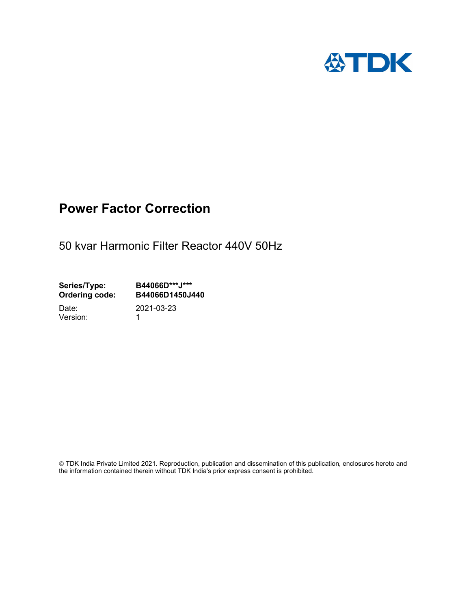

## Power Factor Correction

50 kvar Harmonic Filter Reactor 440V 50Hz

Series/Type: B44066D\*\*\*J\*\*\*<br>Ordering code: B44066D1450J4 B44066D1450J440

Version: 1

Date: 2021-03-23

 TDK India Private Limited 2021. Reproduction, publication and dissemination of this publication, enclosures hereto and the information contained therein without TDK India's prior express consent is prohibited.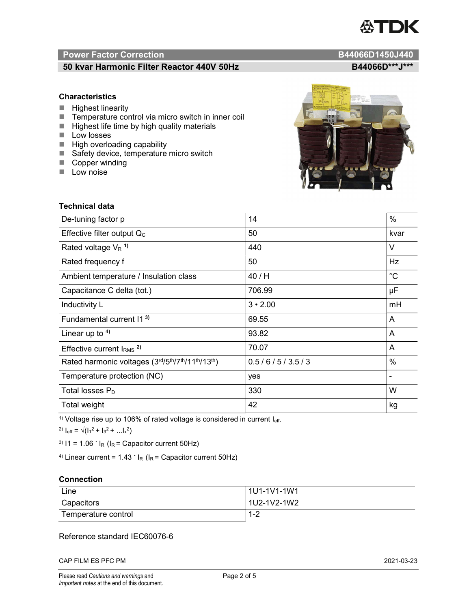# TDK

#### Power Factor Correction and B44066D1450J440

### 50 kvar Harmonic Filter Reactor 440V 50Hz<br>B44066D\*\*\*J\*\*\*

#### **Characteristics**

- $\blacksquare$  Highest linearity
- Temperature control via micro switch in inner coil
- $\blacksquare$  Highest life time by high quality materials
- **Low** losses
- $\blacksquare$  High overloading capability
- Safety device, temperature micro switch
- Copper winding
- **Low noise**

Technical data

| IN CASE OF CONTACTOR<br><b>Sing</b><br>$22 - 24$<br>٠<br>$\bullet$<br>oo-<br>-<br>ш<br>٠<br><b>River</b><br>caracters a | <b>COLOR SHOWS COMME CTION</b><br><b>B-CASE OF PSW</b><br><b>Parties</b><br>$\frac{1}{2}$<br><b>COL</b><br>$\begin{picture}(20,20) \put(0,0){\line(1,0){10}} \put(15,0){\line(1,0){10}} \put(15,0){\line(1,0){10}} \put(15,0){\line(1,0){10}} \put(15,0){\line(1,0){10}} \put(15,0){\line(1,0){10}} \put(15,0){\line(1,0){10}} \put(15,0){\line(1,0){10}} \put(15,0){\line(1,0){10}} \put(15,0){\line(1,0){10}} \put(15,0){\line(1,0){10}} \put(15,0){\line(1$<br>co-<br><b>String</b><br><b>Company</b> |  |
|-------------------------------------------------------------------------------------------------------------------------|----------------------------------------------------------------------------------------------------------------------------------------------------------------------------------------------------------------------------------------------------------------------------------------------------------------------------------------------------------------------------------------------------------------------------------------------------------------------------------------------------------|--|
| <b>A FORDAY OF SHAPPING</b><br><b>COLLECTION</b>                                                                        | <b>My Show se</b>                                                                                                                                                                                                                                                                                                                                                                                                                                                                                        |  |
|                                                                                                                         |                                                                                                                                                                                                                                                                                                                                                                                                                                                                                                          |  |
|                                                                                                                         |                                                                                                                                                                                                                                                                                                                                                                                                                                                                                                          |  |
|                                                                                                                         |                                                                                                                                                                                                                                                                                                                                                                                                                                                                                                          |  |

 $\sqrt{2}$ 

| De-tuning factor p                              | 14             | %           |
|-------------------------------------------------|----------------|-------------|
| Effective filter output $Q_C$                   | 50             | kvar        |
| Rated voltage $V_R$ <sup>1)</sup>               | 440            | $\vee$      |
| Rated frequency f                               | 50             | Hz          |
| Ambient temperature / Insulation class          | 40 / H         | $^{\circ}C$ |
| Capacitance C delta (tot.)                      | 706.99         | μF          |
| Inductivity L                                   | $3 \cdot 2.00$ | mH          |
| Fundamental current 11 <sup>3)</sup>            | 69.55          | A           |
| Linear up to $4$ )                              | 93.82          | A           |
| Effective current $IRMS$ <sup>2)</sup>          | 70.07          | A           |
| Rated harmonic voltages (3rd/5th/7th/11th/13th) | 0.5/6/5/3.5/3  | $\%$        |
| Temperature protection (NC)                     | yes            |             |
| Total losses $P_D$                              | 330            | W           |
| Total weight                                    | 42             | kg          |

<sup>1)</sup> Voltage rise up to 106% of rated voltage is considered in current  $I_{\text{eff}}$ .

<sup>2)</sup>  $I_{eff} = \sqrt{(I_1^2 + I_3^2 + ... I_x^2)}$ 

<sup>3)</sup>  $11 = 1.06$   $\cdot$   $I_R$  ( $I_R$  = Capacitor current 50Hz)

<sup>4)</sup> Linear current =  $1.43$   $\cdot$  I<sub>R</sub> (I<sub>R</sub> = Capacitor current 50Hz)

#### **Connection**

| Line                | l 1U1-1V1-1W1 |
|---------------------|---------------|
| Capacitors          | l 1U2-1V2-1W2 |
| Temperature control | ' - 4         |

#### Reference standard IEC60076-6

CAP FILM ES PFC PM 2021-03-23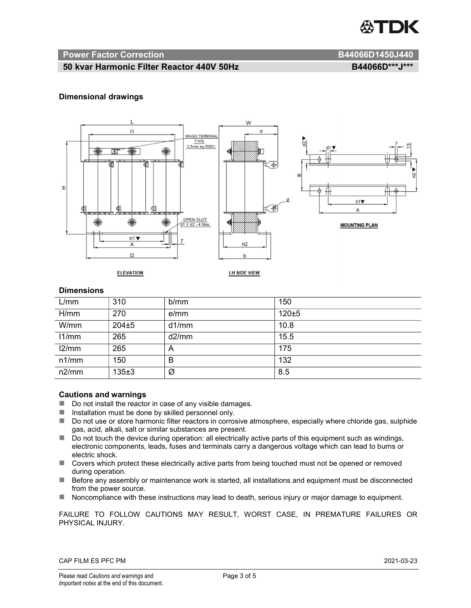

#### Power Factor Correction and B44066D1450J440

#### 50 kvar Harmonic Filter Reactor 440V 50Hz B44066D\*\*\*J\*\*\*

#### Dimensional drawings



#### **Dimensions**

| L/mm  | 310       | b/mm  | 150       |
|-------|-----------|-------|-----------|
| H/mm  | 270       | e/mm  | $120 + 5$ |
| W/mm  | $204 + 5$ | d1/mm | 10.8      |
| 11/mm | 265       | d2/mm | 15.5      |
| 12/mm | 265       | A     | 175       |
| n1/mm | 150       | B     | 132       |
| n2/mm | 135±3     | Ø     | 8.5       |

#### Cautions and warnings

- Do not install the reactor in case of any visible damages.
- $\blacksquare$  Installation must be done by skilled personnel only.
- Do not use or store harmonic filter reactors in corrosive atmosphere, especially where chloride gas, sulphide gas, acid, alkali, salt or similar substances are present.
- $\Box$  Do not touch the device during operation: all electrically active parts of this equipment such as windings, electronic components, leads, fuses and terminals carry a dangerous voltage which can lead to burns or electric shock.
- Covers which protect these electrically active parts from being touched must not be opened or removed during operation.
- Before any assembly or maintenance work is started, all installations and equipment must be disconnected from the power source.
- Noncompliance with these instructions may lead to death, serious injury or major damage to equipment.

FAILURE TO FOLLOW CAUTIONS MAY RESULT, WORST CASE, IN PREMATURE FAILURES OR PHYSICAL INJURY.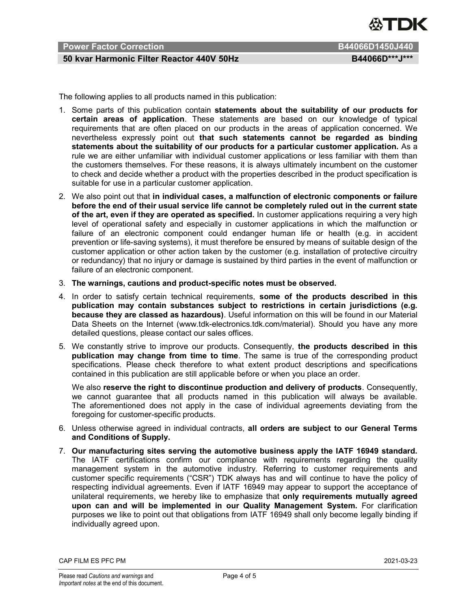

#### Power Factor Correction **B44066D1450J440**

#### 50 kvar Harmonic Filter Reactor 440V 50Hz B44066D\*\*\*J\*\*\*

The following applies to all products named in this publication:

- 1. Some parts of this publication contain statements about the suitability of our products for certain areas of application. These statements are based on our knowledge of typical requirements that are often placed on our products in the areas of application concerned. We nevertheless expressly point out that such statements cannot be regarded as binding statements about the suitability of our products for a particular customer application. As a rule we are either unfamiliar with individual customer applications or less familiar with them than the customers themselves. For these reasons, it is always ultimately incumbent on the customer to check and decide whether a product with the properties described in the product specification is suitable for use in a particular customer application.
- 2. We also point out that in individual cases, a malfunction of electronic components or failure before the end of their usual service life cannot be completely ruled out in the current state of the art, even if they are operated as specified. In customer applications requiring a very high level of operational safety and especially in customer applications in which the malfunction or failure of an electronic component could endanger human life or health (e.g. in accident prevention or life-saving systems), it must therefore be ensured by means of suitable design of the customer application or other action taken by the customer (e.g. installation of protective circuitry or redundancy) that no injury or damage is sustained by third parties in the event of malfunction or failure of an electronic component.
- 3. The warnings, cautions and product-specific notes must be observed.
- 4. In order to satisfy certain technical requirements, some of the products described in this publication may contain substances subject to restrictions in certain jurisdictions (e.g. because they are classed as hazardous). Useful information on this will be found in our Material Data Sheets on the Internet (www.tdk-electronics.tdk.com/material). Should you have any more detailed questions, please contact our sales offices.
- 5. We constantly strive to improve our products. Consequently, the products described in this publication may change from time to time. The same is true of the corresponding product specifications. Please check therefore to what extent product descriptions and specifications contained in this publication are still applicable before or when you place an order.

We also reserve the right to discontinue production and delivery of products. Consequently, we cannot guarantee that all products named in this publication will always be available. The aforementioned does not apply in the case of individual agreements deviating from the foregoing for customer-specific products.

- 6. Unless otherwise agreed in individual contracts, all orders are subject to our General Terms and Conditions of Supply.
- 7. Our manufacturing sites serving the automotive business apply the IATF 16949 standard. The IATF certifications confirm our compliance with requirements regarding the quality management system in the automotive industry. Referring to customer requirements and customer specific requirements ("CSR") TDK always has and will continue to have the policy of respecting individual agreements. Even if IATF 16949 may appear to support the acceptance of unilateral requirements, we hereby like to emphasize that only requirements mutually agreed upon can and will be implemented in our Quality Management System. For clarification purposes we like to point out that obligations from IATF 16949 shall only become legally binding if individually agreed upon.